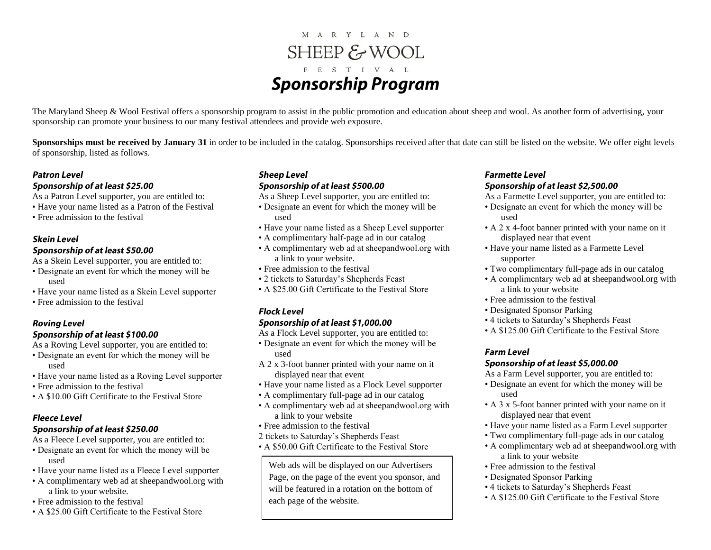# M A R Y L A N D SHEEP & WOOL F E S T I V A L **Sponsorship Program**

The Maryland Sheep & Wool Festival offers a sponsorship program to assist in the public promotion and education about sheep and wool. As another form of advertising, your sponsorship can promote your business to our many festival attendees and provide web exposure.

**Sponsorships must be received by January 31** in order to be included in the catalog. Sponsorships received after that date can still be listed on the website. We offer eight levels of sponsorship, listed as follows.

## **Patron Level**

## Sponsorship of at least \$25.00

As a Patron Level supporter, you are entitled to:

- Have your name listed as a Patron of the Festival
- Free admission to the festival

## **Skein Level**

## Sponsorship of at least \$50.00

As a Skein Level supporter, you are entitled to:

- Designate an event for which the money will be used
- Have your name listed as a Skein Level supporter
- Free admission to the festival

## **Roving Level** Sponsorship of at least \$100.00

As a Roving Level supporter, you are entitled to:

- Designate an event for which the money will be used
- Have your name listed as a Roving Level supporter
- Free admission to the festival
- A \$10.00 Gift Certificate to the Festival Store

## **Fleece Level**

## Sponsorship of at least \$250.00

As a Fleece Level supporter, you are entitled to:

- Designate an event for which the money will be used
- Have your name listed as a Fleece Level supporter
- A complimentary web ad at sheepandwool.org with a link to your website.
- Free admission to the festival
- A \$25.00 Gift Certificate to the Festival Store

## **Sheep Level**

## Sponsorship of at least \$500.00

- As a Sheep Level supporter, you are entitled to:
- Designate an event for which the money will be used
- Have your name listed as a Sheep Level supporter
- A complimentary half-page ad in our catalog
- A complimentary web ad at sheepandwool.org with a link to your website.
- Free admission to the festival
- 2 tickets to Saturday's Shepherds Feast
- A \$25.00 Gift Certificate to the Festival Store

## **Flock Level**

## Sponsorship of at least \$1,000.00

- As a Flock Level supporter, you are entitled to:
- Designate an event for which the money will be used
- A 2 x 3-foot banner printed with your name on it displayed near that event
- Have your name listed as a Flock Level supporter
- A complimentary full-page ad in our catalog
- A complimentary web ad at sheepandwool.org with a link to your website
- Free admission to the festival
- 2 tickets to Saturday's Shepherds Feast
- A \$50.00 Gift Certificate to the Festival Store

Web ads will be displayed on our Advertisers Page, on the page of the event you sponsor, and will be featured in a rotation on the bottom of each page of the website.

## **Farmette Level** Sponsorship of at least \$2,500.00

As a Farmette Level supporter, you are entitled to:

- Designate an event for which the money will be used
- A 2 x 4-foot banner printed with your name on it displayed near that event
- Have your name listed as a Farmette Level supporter
- Two complimentary full-page ads in our catalog
- A complimentary web ad at sheepandwool.org with a link to your website
- Free admission to the festival
- Designated Sponsor Parking
- 4 tickets to Saturday's Shepherds Feast
- A \$125.00 Gift Certificate to the Festival Store

## **Farm Level**

## Sponsorship of at least \$5,000.00

As a Farm Level supporter, you are entitled to:

- Designate an event for which the money will be used
- A 3 x 5-foot banner printed with your name on it displayed near that event
- Have your name listed as a Farm Level supporter
- Two complimentary full-page ads in our catalog
- A complimentary web ad at sheepandwool.org with a link to your website
- Free admission to the festival
- Designated Sponsor Parking
- 4 tickets to Saturday's Shepherds Feast
- A \$125.00 Gift Certificate to the Festival Store